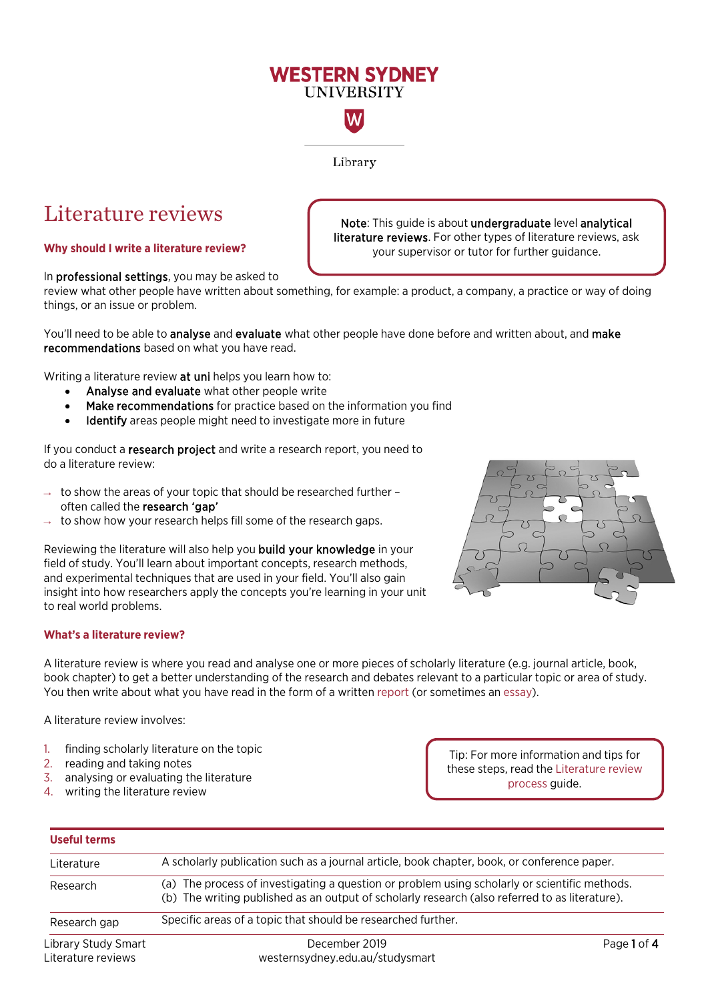# **WESTERN SYDNEY UNIVERSITY**

W

Library

Literature reviews  $\int$  Note: This guide is about undergraduate level analytical literature reviews. For other types of literature reviews, ask **Why should I write a literature review? ultimate review of the state of further guidance.** 

In professional settings, you may be asked to

review what other people have written about something, for example: a product, a company, a practice or way of doing things, or an issue or problem.

You'll need to be able to **analyse** and **evaluate** what other people have done before and written about, and make recommendations based on what you have read.

Writing a literature review at uni helps you learn how to:

- Analyse and evaluate what other people write
- Make recommendations for practice based on the information you find
- Identify areas people might need to investigate more in future

If you conduct a research project and write a research report, you need to do a literature review:

- to show the areas of your topic that should be researched further often called the research 'gap'
- $\rightarrow$  to show how your research helps fill some of the research gaps.

Reviewing the literature will also help you build your knowledge in your field of study. You'll learn about important concepts, research methods, and experimental techniques that are used in your field. You'll also gain insight into how researchers apply the concepts you're learning in your unit to real world problems.



A literature review is where you read and analyse one or more pieces of scholarly literature (e.g. journal article, book, book chapter) to get a better understanding of the research and debates relevant to a particular topic or area of study. You then write about what you have read in the form of a written [report](https://westernsydney.edu.au/__data/assets/pdf_file/0004/1082785/Report_Structure.pdf) (or sometimes a[n essay\)](https://westernsydney.edu.au/__data/assets/pdf_file/0016/1082500/Essay_Structure.pdf).

A literature review involves:

- 1. finding scholarly literature on the topic
- 2. reading and taking notes
- 3. analysing or evaluating the literature
- 4. writing the literature review

Tip: For more information and tips for these steps, read the [Literature review](https://westernsydney.edu.au/__data/assets/pdf_file/0004/1254784/Literature_review_process.pdf)  [process](https://westernsydney.edu.au/__data/assets/pdf_file/0004/1254784/Literature_review_process.pdf) guide.

| <b>Useful terms</b>                       |                                                                                                                                                                                                                                                                                                |             |  |
|-------------------------------------------|------------------------------------------------------------------------------------------------------------------------------------------------------------------------------------------------------------------------------------------------------------------------------------------------|-------------|--|
| Literature                                | A scholarly publication such as a journal article, book chapter, book, or conference paper.<br>(a) The process of investigating a question or problem using scholarly or scientific methods.<br>(b) The writing published as an output of scholarly research (also referred to as literature). |             |  |
| Research                                  |                                                                                                                                                                                                                                                                                                |             |  |
| Research gap                              | Specific areas of a topic that should be researched further.                                                                                                                                                                                                                                   |             |  |
| Library Study Smart<br>Literature reviews | December 2019<br>westernsydney.edu.au/studysmart                                                                                                                                                                                                                                               | Page 1 of 4 |  |

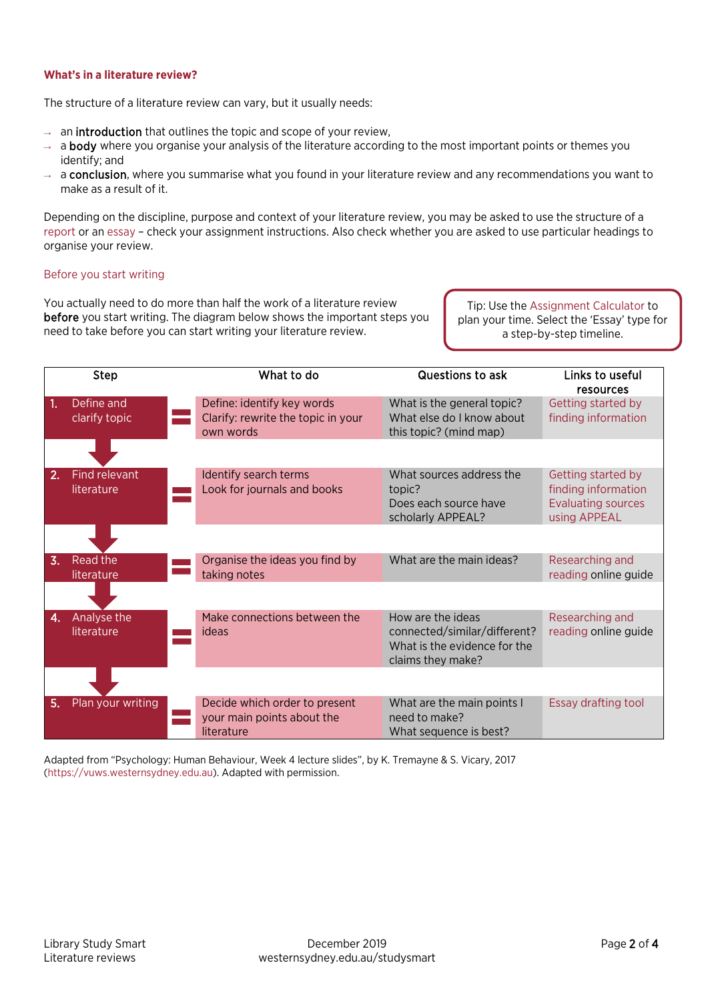## **What's in a literature review?**

The structure of a literature review can vary, but it usually needs:

- $\rightarrow$  an **introduction** that outlines the topic and scope of your review,
- $\rightarrow$  a body where you organise your analysis of the literature according to the most important points or themes you identify; and
- → a conclusion, where you summarise what you found in your literature review and any recommendations you want to make as a result of it.

Depending on the discipline, purpose and context of your literature review, you may be asked to use the structure of a [report](https://westernsydney.edu.au/__data/assets/pdf_file/0004/1082785/Report_Structure.pdf) or an [essay](https://westernsydney.edu.au/__data/assets/pdf_file/0016/1082500/Essay_Structure.pdf) – check your assignment instructions. Also check whether you are asked to use particular headings to organise your review.

## Before you start writing

You actually need to do more than half the work of a literature review before you start writing. The diagram below shows the important steps you need to take before you can start writing your literature review.

Tip: Use th[e Assignment Calculator](https://library.westernsydney.edu.au/assignmentcalculator/) to plan your time. Select the 'Essay' type for a step-by-step timeline.

|                  | <b>Step</b>                 | What to do                                                                    | Questions to ask                                                                                       | Links to useful<br>resources                                                           |
|------------------|-----------------------------|-------------------------------------------------------------------------------|--------------------------------------------------------------------------------------------------------|----------------------------------------------------------------------------------------|
| 1.               | Define and<br>clarify topic | Define: identify key words<br>Clarify: rewrite the topic in your<br>own words | What is the general topic?<br>What else do I know about<br>this topic? (mind map)                      | Getting started by<br>finding information                                              |
|                  |                             |                                                                               |                                                                                                        |                                                                                        |
| 2.               | Find relevant<br>literature | Identify search terms<br>Look for journals and books                          | What sources address the<br>topic?<br>Does each source have<br>scholarly APPEAL?                       | Getting started by<br>finding information<br><b>Evaluating sources</b><br>using APPEAL |
|                  |                             |                                                                               |                                                                                                        |                                                                                        |
| $\overline{3}$ . | Read the<br>literature      | Organise the ideas you find by<br>taking notes                                | What are the main ideas?                                                                               | Researching and<br>reading online guide                                                |
|                  |                             |                                                                               |                                                                                                        |                                                                                        |
| 4.               | Analyse the<br>literature   | Make connections between the<br>ideas                                         | How are the ideas<br>connected/similar/different?<br>What is the evidence for the<br>claims they make? | Researching and<br>reading online guide                                                |
|                  |                             |                                                                               |                                                                                                        |                                                                                        |
| 5.               | Plan your writing           | Decide which order to present<br>your main points about the<br>literature     | What are the main points I<br>need to make?<br>What sequence is best?                                  | Essay drafting tool                                                                    |

Adapted from "Psychology: Human Behaviour, Week 4 lecture slides", by K. Tremayne & S. Vicary, 2017 [\(https://vuws.westernsydney.edu.au\)](https://vuws.westernsydney.edu.au/). Adapted with permission.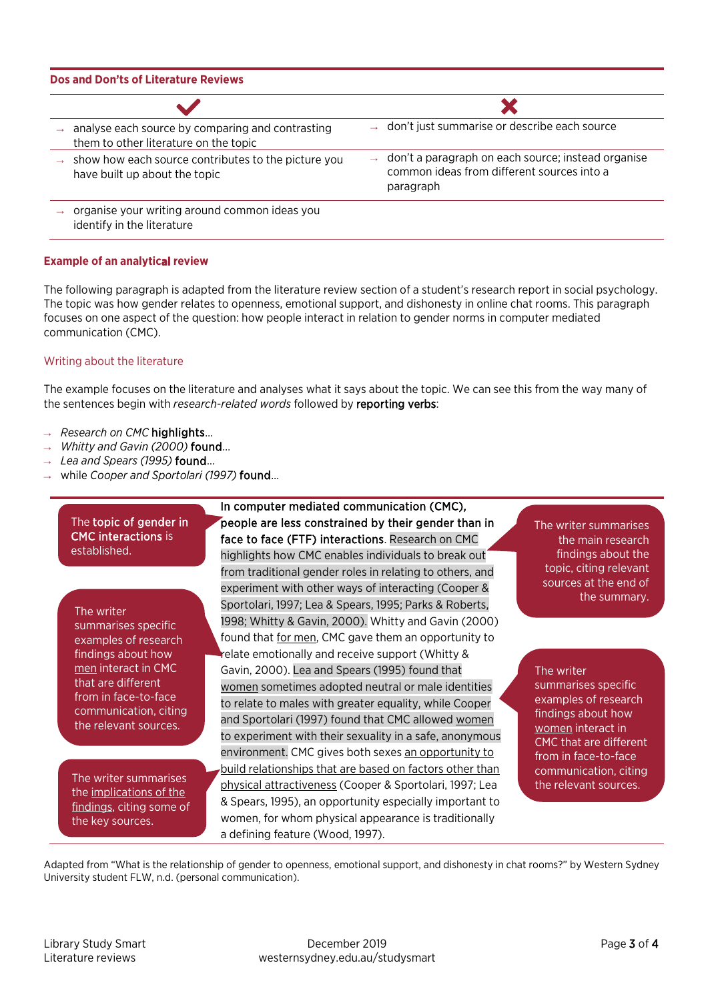#### **Dos and Don'ts of Literature Reviews** X don't just summarise or describe each source analyse each source by comparing and contrasting them to other literature on the topic don't a paragraph on each source; instead organise show how each source contributes to the picture you have built up about the topic common ideas from different sources into a paragraph organise your writing around common ideas you identify in the literature

## **Example of an analytical review**

The following paragraph is adapted from the literature review section of a student's research report in social psychology. The topic was how gender relates to openness, emotional support, and dishonesty in online chat rooms. This paragraph focuses on one aspect of the question: how people interact in relation to gender norms in computer mediated communication (CMC).

## Writing about the literature

The example focuses on the literature and analyses what it says about the topic. We can see this from the way many of the sentences begin with *research-related words* followed by reporting verbs:

- **Research on CMC highlights...**
- → *Whitty and Gavin (2000)* found…
- → *Lea and Spears (1995)* found…
- → while *Cooper and Sportolari (1997)* found…

## The topic of gender in CMC interactions is established.

## The writer

summarises specific examples of research findings about how men interact in CMC that are different from in face-to-face communication, citing the relevant sources.

the implications of the findings, citing some of the key sources.

In computer mediated communication (CMC), people are less constrained by their gender than in face to face (FTF) interactions. Research on CMC highlights how CMC enables individuals to break out from traditional gender roles in relating to others, and experiment with other ways of interacting (Cooper & Sportolari, 1997; Lea & Spears, 1995; Parks & Roberts, 1998; Whitty & Gavin, 2000). Whitty and Gavin (2000) found that for men, CMC gave them an opportunity to relate emotionally and receive support (Whitty & Gavin, 2000). Lea and Spears (1995) found that women sometimes adopted neutral or male identities to relate to males with greater equality, while Cooper and Sportolari (1997) found that CMC allowed women to experiment with their sexuality in a safe, anonymous environment. CMC gives both sexes an opportunity to build relationships that are based on factors other than The writer summarises bhysical attractiveness (Cooper & Sportolari, 1997; Lea the relevant sources. & Spears, 1995), an opportunity especially important to women, for whom physical appearance is traditionally a defining feature (Wood, 1997).

The writer summarises the main research findings about the topic, citing relevant sources at the end of the summary.

The writer summarises specific examples of research findings about how women interact in CMC that are different from in face-to-face communication, citing

Adapted from "What is the relationship of gender to openness, emotional support, and dishonesty in chat rooms?" by Western Sydney University student FLW, n.d. (personal communication).